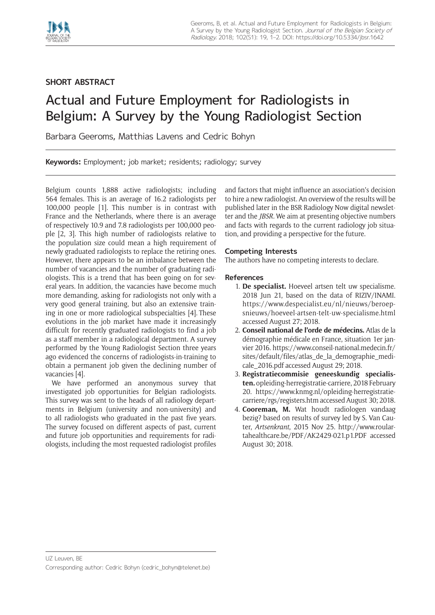

## **SHORT ABSTRACT**

## Actual and Future Employment for Radiologists in Belgium: A Survey by the Young Radiologist Section

Barbara Geeroms, Matthias Lavens and Cedric Bohyn

**Keywords:** Employment; job market; residents; radiology; survey

Belgium counts 1,888 active radiologists; including 564 females. This is an average of 16.2 radiologists per 100,000 people [1]. This number is in contrast with France and the Netherlands, where there is an average of respectively 10.9 and 7.8 radiologists per 100,000 people [2, 3]. This high number of radiologists relative to the population size could mean a high requirement of newly graduated radiologists to replace the retiring ones. However, there appears to be an imbalance between the number of vacancies and the number of graduating radiologists. This is a trend that has been going on for several years. In addition, the vacancies have become much more demanding, asking for radiologists not only with a very good general training, but also an extensive training in one or more radiological subspecialties [4]. These evolutions in the job market have made it increasingly difficult for recently graduated radiologists to find a job as a staff member in a radiological department. A survey performed by the Young Radiologist Section three years ago evidenced the concerns of radiologists-in-training to obtain a permanent job given the declining number of vacancies [4].

We have performed an anonymous survey that investigated job opportunities for Belgian radiologists. This survey was sent to the heads of all radiology departments in Belgium (university and non-university) and to all radiologists who graduated in the past five years. The survey focused on different aspects of past, current and future job opportunities and requirements for radiologists, including the most requested radiologist profiles

and factors that might influence an association's decision to hire a new radiologist. An overview of the results will be published later in the BSR Radiology Now digital newsletter and the *JBSR.* We aim at presenting objective numbers and facts with regards to the current radiology job situation, and providing a perspective for the future.

## **Competing Interests**

The authors have no competing interests to declare.

## **References**

- 1. **De specialist.** Hoeveel artsen telt uw specialisme. 2018 Jun 21, based on the data of RIZIV/INAMI. [https://www.despecialist.eu/nl/nieuws/beroep](https://www.despecialist.eu/nl/nieuws/beroepsnieuws/hoeveel-artsen-telt-uw-specialisme.html)[snieuws/hoeveel-artsen-telt-uw-specialisme.html](https://www.despecialist.eu/nl/nieuws/beroepsnieuws/hoeveel-artsen-telt-uw-specialisme.html) accessed August 27; 2018.
- 2. **Conseil national de l'orde de médecins.** Atlas de la démographie médicale en France, situation 1er janvier 2016. [https://www.conseil-national.medecin.fr/](https://www.conseil-national.medecin.fr/sites/default/files/atlas_de_la_demographie_medicale_2016.pdf) [sites/default/files/atlas\\_de\\_la\\_demographie\\_medi](https://www.conseil-national.medecin.fr/sites/default/files/atlas_de_la_demographie_medicale_2016.pdf)[cale\\_2016.pdf](https://www.conseil-national.medecin.fr/sites/default/files/atlas_de_la_demographie_medicale_2016.pdf) accessed August 29; 2018.
- 3. **Registratiecommisie geneeskundig specialisten.** opleiding-herregistratie-carriere, 2018 February 20. [https://www.knmg.nl/opleiding-herregistratie](https://www.knmg.nl/opleiding-herregistratie-carriere/rgs/registers.htm)[carriere/rgs/registers.htm](https://www.knmg.nl/opleiding-herregistratie-carriere/rgs/registers.htm) accessed August 30; 2018.
- 4. **Cooreman, M.** Wat houdt radiologen vandaag bezig? based on results of survey led by S. Van Cauter, *Artsenkrant*, 2015 Nov 25. [http://www.roular](http://www.roulartahealthcare.be/PDF/AK2429-021.p1.PDF)[tahealthcare.be/PDF/AK2429-021.p1.PDF](http://www.roulartahealthcare.be/PDF/AK2429-021.p1.PDF) accessed August 30; 2018.